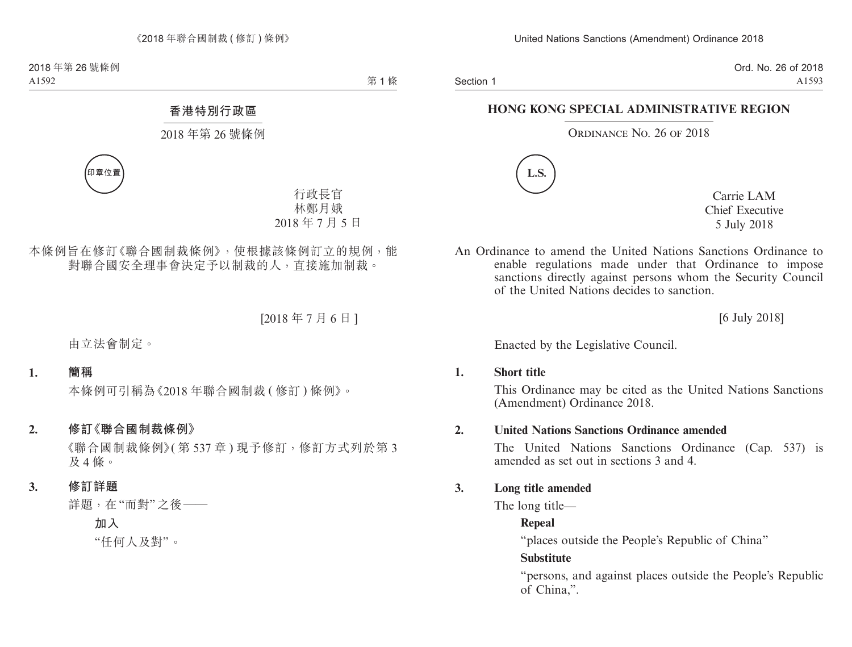Section 1

Ord. No. 26 of 2018 A1593

#### **HONG KONG SPECIAL ADMINISTRATIVE REGION**

#### ORDINANCE NO. 26 OF 2018



Carrie LAM Chief Executive 5 July 2018

An Ordinance to amend the United Nations Sanctions Ordinance to enable regulations made under that Ordinance to impose sanctions directly against persons whom the Security Council of the United Nations decides to sanction.

[6 July 2018]

Enacted by the Legislative Council.

#### **1. Short title**

This Ordinance may be cited as the United Nations Sanctions (Amendment) Ordinance 2018.

#### **2. United Nations Sanctions Ordinance amended**

The United Nations Sanctions Ordinance (Cap. 537) is amended as set out in sections 3 and 4.

#### **3. Long title amended**

The long title—

#### **Repeal**

"places outside the People's Republic of China"

#### **Substitute**

"persons, and against places outside the People's Republic of China,".